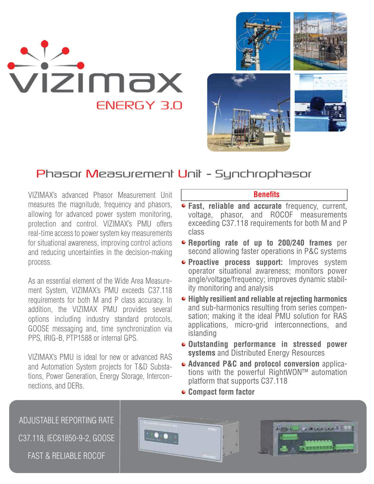

## Phasor Measurement Unit - Synchrophasor

VIZIMAX's advanced Phasor Measurement Unit measures the magnitude, frequency and phasors, allowing for advanced power system monitoring, protection and control. VIZIMAX's PMU offers real-time access to power system key measurements for situational awareness, improving control actions and reducing uncertainties in the decision-making process.

As an essential element of the Wide Area Measurement System, VIZIMAX's PMU exceeds C37.118 requirements for both M and P class accuracy. In addition, the VIZIMAX PMU provides several options including industry standard protocols, GOOSE messaging and, time synchronization via PPS, IRIG-B, PTP1588 or internal GPS.

VIZIMAX's PMU is ideal for new or advanced RAS and Automation System projects for T&D Substations, Power Generation, Energy Storage, Interconnections, and DERs.

## **Benets**

- **Fast, reliable and accurate** frequency, current, voltage, phasor, and ROCOF measurements exceeding C37.118 requirements for both M and P class
- **Reporting rate of up to 200/240 frames** per second allowing faster operations in P&C systems
- **Proactive process support:** Improves system operator situational awareness; monitors power angle/voltage/frequency; improves dynamic stability monitoring and analysis
- **Highly resilient and reliable at rejecting harmonics**  and sub-harmonics resulting from series compensation; making it the ideal PMU solution for RAS applications, micro-grid interconnections, and islanding
- **Outstanding performance in stressed power systems** and Distributed Energy Resources
- **Advanced P&C and protocol conversion** applications with the powerful RightWON™ automation platform that supports C37.118
- **Compact form factor**

ADJUSTABLE REPORTING RATE **Remy David Co in Grie Grief A 4 9 Co** C37.118, IEC61850-9-2, GOOSE FAST & RELIABLE ROCOF